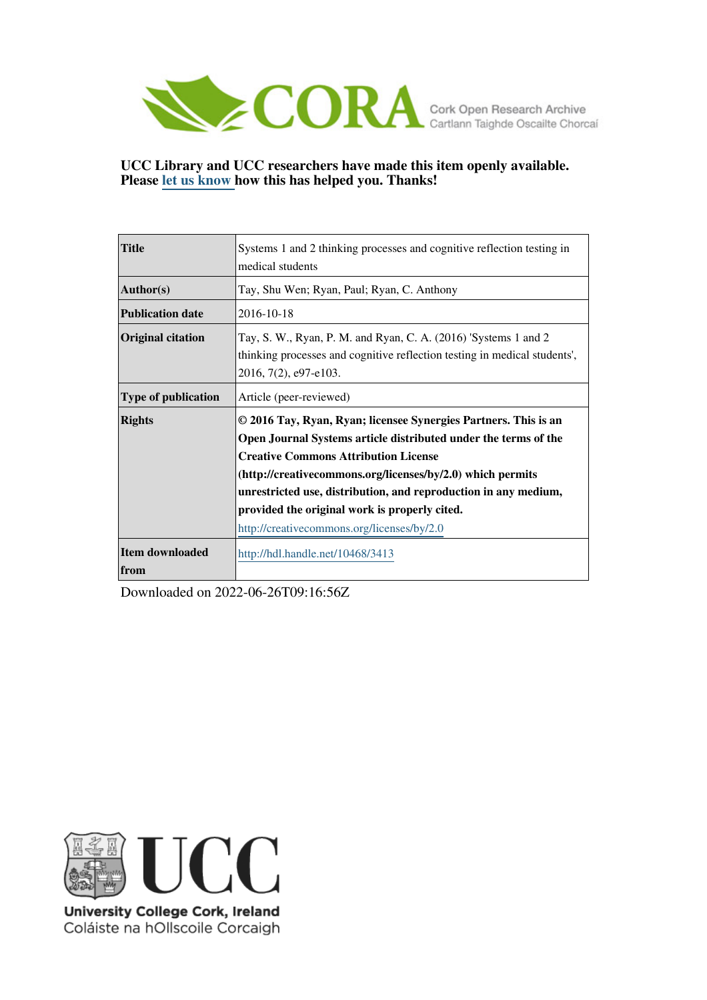

**UCC Library and UCC researchers have made this item openly available. Please [let us know h](https://libguides.ucc.ie/openaccess/impact?suffix=3413&title=Systems 1 and 2 thinking processes and cognitive reflection testing in medical students)ow this has helped you. Thanks!**

| <b>Title</b>               | Systems 1 and 2 thinking processes and cognitive reflection testing in<br>medical students                                                                                                                                                                                                                                                                                                                        |  |  |  |
|----------------------------|-------------------------------------------------------------------------------------------------------------------------------------------------------------------------------------------------------------------------------------------------------------------------------------------------------------------------------------------------------------------------------------------------------------------|--|--|--|
| Author(s)                  | Tay, Shu Wen; Ryan, Paul; Ryan, C. Anthony                                                                                                                                                                                                                                                                                                                                                                        |  |  |  |
| <b>Publication date</b>    | 2016-10-18                                                                                                                                                                                                                                                                                                                                                                                                        |  |  |  |
| <b>Original citation</b>   | Tay, S. W., Ryan, P. M. and Ryan, C. A. (2016) 'Systems 1 and 2<br>thinking processes and cognitive reflection testing in medical students',<br>2016, 7(2), e97-e103.                                                                                                                                                                                                                                             |  |  |  |
| <b>Type of publication</b> | Article (peer-reviewed)                                                                                                                                                                                                                                                                                                                                                                                           |  |  |  |
| <b>Rights</b>              | © 2016 Tay, Ryan, Ryan; licensee Synergies Partners. This is an<br>Open Journal Systems article distributed under the terms of the<br><b>Creative Commons Attribution License</b><br>(http://creativecommons.org/licenses/by/2.0) which permits<br>unrestricted use, distribution, and reproduction in any medium,<br>provided the original work is properly cited.<br>http://creativecommons.org/licenses/by/2.0 |  |  |  |
| Item downloaded<br>from    | http://hdl.handle.net/10468/3413                                                                                                                                                                                                                                                                                                                                                                                  |  |  |  |

Downloaded on 2022-06-26T09:16:56Z



University College Cork, Ireland Coláiste na hOllscoile Corcaigh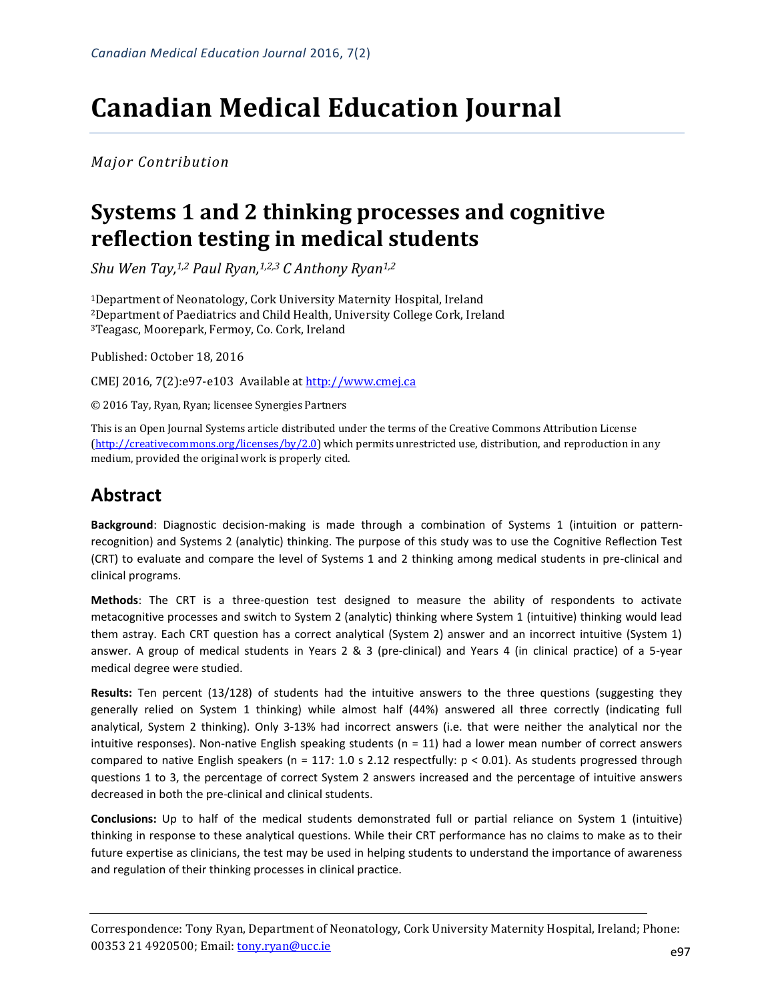# **Canadian Medical Education Journal**

*Major Contribution*

## **Systems 1 and 2 thinking processes and cognitive reflection testing in medical students**

*Shu Wen Tay, 1,2 Paul Ryan,1,2,3 C Anthony Ryan1,2*

<sup>1</sup>Department of Neonatology, Cork University Maternity Hospital, Ireland <sup>2</sup>Department of Paediatrics and Child Health, University College Cork, Ireland <sup>3</sup>Teagasc, Moorepark, Fermoy, Co. Cork, Ireland

Published: October 18, 2016

CMEJ 2016, 7(2):e97-e103 Available at [http://www.cmej.ca](http://www.cmej.ca/)

© 2016 Tay, Ryan, Ryan; licensee Synergies Partners

This is an Open Journal Systems article distributed under the terms of the Creative Commons Attribution License [\(http://creativecommons.org/licenses/by/2.0\)](http://creativecommons.org/licenses/by/2.0) which permits unrestricted use, distribution, and reproduction in any medium, provided the original work is properly cited.

### **Abstract**

**Background**: Diagnostic decision-making is made through a combination of Systems 1 (intuition or patternrecognition) and Systems 2 (analytic) thinking. The purpose of this study was to use the Cognitive Reflection Test (CRT) to evaluate and compare the level of Systems 1 and 2 thinking among medical students in pre-clinical and clinical programs.

**Methods**: The CRT is a three-question test designed to measure the ability of respondents to activate metacognitive processes and switch to System 2 (analytic) thinking where System 1 (intuitive) thinking would lead them astray. Each CRT question has a correct analytical (System 2) answer and an incorrect intuitive (System 1) answer. A group of medical students in Years 2 & 3 (pre-clinical) and Years 4 (in clinical practice) of a 5-year medical degree were studied.

**Results:** Ten percent (13/128) of students had the intuitive answers to the three questions (suggesting they generally relied on System 1 thinking) while almost half (44%) answered all three correctly (indicating full analytical, System 2 thinking). Only 3-13% had incorrect answers (i.e. that were neither the analytical nor the intuitive responses). Non-native English speaking students (n = 11) had a lower mean number of correct answers compared to native English speakers (n = 117: 1.0 s 2.12 respectfully:  $p < 0.01$ ). As students progressed through questions 1 to 3, the percentage of correct System 2 answers increased and the percentage of intuitive answers decreased in both the pre-clinical and clinical students.

**Conclusions:** Up to half of the medical students demonstrated full or partial reliance on System 1 (intuitive) thinking in response to these analytical questions. While their CRT performance has no claims to make as to their future expertise as clinicians, the test may be used in helping students to understand the importance of awareness and regulation of their thinking processes in clinical practice.

Correspondence: Tony Ryan, Department of Neonatology, Cork University Maternity Hospital, Ireland; Phone: 00353 21 4920500; Email: <u>tony.ryan@ucc.ie</u> e97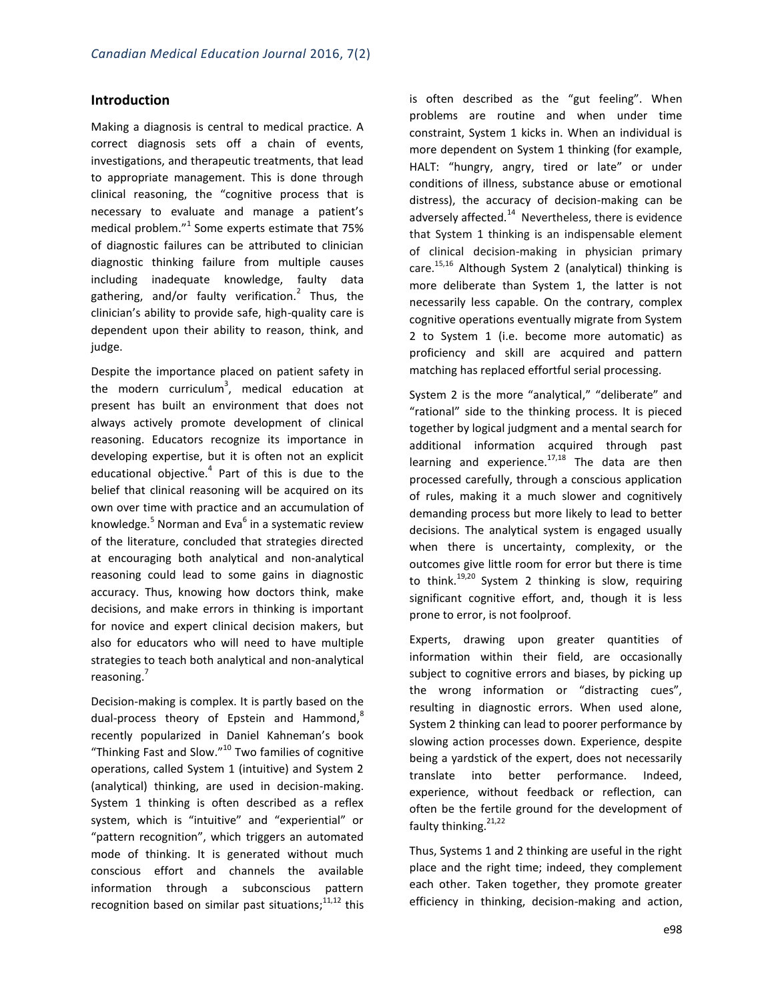#### **Introduction**

Making a diagnosis is central to medical practice. A correct diagnosis sets off a chain of events, investigations, and therapeutic treatments, that lead to appropriate management. This is done through clinical reasoning, the "cognitive process that is necessary to evaluate and manage a patient's medical problem." $1$  Some experts estimate that 75% of diagnostic failures can be attributed to clinician diagnostic thinking failure from multiple causes including inadequate knowledge, faulty data gathering, and/or faulty verification.<sup>2</sup> Thus, the clinician's ability to provide safe, high-quality care is dependent upon their ability to reason, think, and judge.

Despite the importance placed on patient safety in the modern curriculum<sup>3</sup>, medical education at present has built an environment that does not always actively promote development of clinical reasoning. Educators recognize its importance in developing expertise, but it is often not an explicit educational objective. $4$  Part of this is due to the belief that clinical reasoning will be acquired on its own over time with practice and an accumulation of knowledge.<sup>5</sup> Norman and Eva<sup>6</sup> in a systematic review of the literature, concluded that strategies directed at encouraging both analytical and non-analytical reasoning could lead to some gains in diagnostic accuracy. Thus, knowing how doctors think, make decisions, and make errors in thinking is important for novice and expert clinical decision makers, but also for educators who will need to have multiple strategies to teach both analytical and non-analytical reasoning.<sup>7</sup>

Decision-making is complex. It is partly based on the dual-process theory of Epstein and Hammond,<sup>8</sup> recently popularized in Daniel Kahneman's book "Thinking Fast and Slow."<sup>10</sup> Two families of cognitive operations, called System 1 (intuitive) and System 2 (analytical) thinking, are used in decision-making. System 1 thinking is often described as a reflex system, which is "intuitive" and "experiential" or "pattern recognition", which triggers an automated mode of thinking. It is generated without much conscious effort and channels the available information through a subconscious pattern recognition based on similar past situations;<sup>11,12</sup> this is often described as the "gut feeling". When problems are routine and when under time constraint, System 1 kicks in. When an individual is more dependent on System 1 thinking (for example, HALT: "hungry, angry, tired or late" or under conditions of illness, substance abuse or emotional distress), the accuracy of decision-making can be adversely affected. $14$  Nevertheless, there is evidence that System 1 thinking is an indispensable element of clinical decision-making in physician primary care. 15,16 Although System 2 (analytical) thinking is more deliberate than System 1, the latter is not necessarily less capable. On the contrary, complex cognitive operations eventually migrate from System 2 to System 1 (i.e. become more automatic) as proficiency and skill are acquired and pattern matching has replaced effortful serial processing.

System 2 is the more "analytical," "deliberate" and "rational" side to the thinking process. It is pieced together by logical judgment and a mental search for additional information acquired through past learning and experience.<sup>17,18</sup> The data are then processed carefully, through a conscious application of rules, making it a much slower and cognitively demanding process but more likely to lead to better decisions. The analytical system is engaged usually when there is uncertainty, complexity, or the outcomes give little room for error but there is time to think.<sup>19,20</sup> System 2 thinking is slow, requiring significant cognitive effort, and, though it is less prone to error, is not foolproof.

Experts, drawing upon greater quantities of information within their field, are occasionally subject to cognitive errors and biases, by picking up the wrong information or "distracting cues", resulting in diagnostic errors. When used alone, System 2 thinking can lead to poorer performance by slowing action processes down. Experience, despite being a yardstick of the expert, does not necessarily translate into better performance. Indeed, experience, without feedback or reflection, can often be the fertile ground for the development of faulty thinking.  $21,22$ 

Thus, Systems 1 and 2 thinking are useful in the right place and the right time; indeed, they complement each other. Taken together, they promote greater efficiency in thinking, decision-making and action,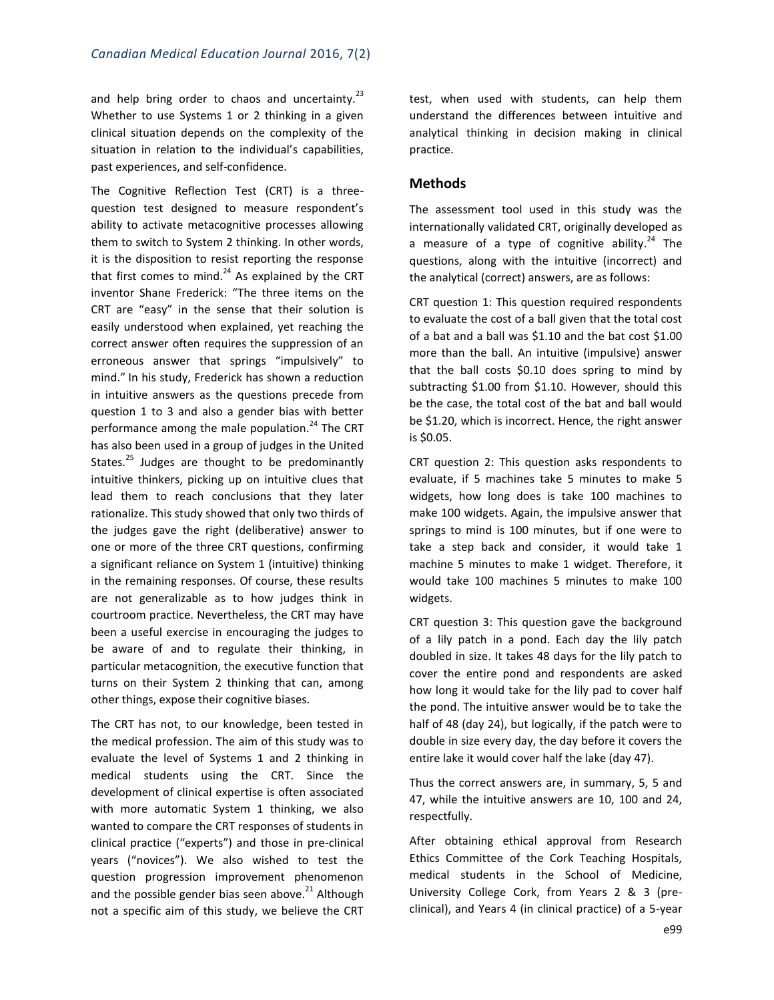and help bring order to chaos and uncertainty. $^{23}$ Whether to use Systems 1 or 2 thinking in a given clinical situation depends on the complexity of the situation in relation to the individual's capabilities, past experiences, and self-confidence.

The Cognitive Reflection Test (CRT) is a threequestion test designed to measure respondent's ability to activate metacognitive processes allowing them to switch to System 2 thinking. In other words, it is the disposition to resist reporting the response that first comes to mind. $^{24}$  As explained by the CRT inventor Shane Frederick: "The three items on the CRT are "easy" in the sense that their solution is easily understood when explained, yet reaching the correct answer often requires the suppression of an erroneous answer that springs "impulsively" to mind." In his study, Frederick has shown a reduction in intuitive answers as the questions precede from question 1 to 3 and also a gender bias with better performance among the male population.<sup>24</sup> The CRT has also been used in a group of judges in the United States.<sup>25</sup> Judges are thought to be predominantly intuitive thinkers, picking up on intuitive clues that lead them to reach conclusions that they later rationalize. This study showed that only two thirds of the judges gave the right (deliberative) answer to one or more of the three CRT questions, confirming a significant reliance on System 1 (intuitive) thinking in the remaining responses. Of course, these results are not generalizable as to how judges think in courtroom practice. Nevertheless, the CRT may have been a useful exercise in encouraging the judges to be aware of and to regulate their thinking, in particular metacognition, the executive function that turns on their System 2 thinking that can, among other things, expose their cognitive biases.

The CRT has not, to our knowledge, been tested in the medical profession. The aim of this study was to evaluate the level of Systems 1 and 2 thinking in medical students using the CRT. Since the development of clinical expertise is often associated with more automatic System 1 thinking, we also wanted to compare the CRT responses of students in clinical practice ("experts") and those in pre-clinical years ("novices"). We also wished to test the question progression improvement phenomenon and the possible gender bias seen above.<sup>21</sup> Although not a specific aim of this study, we believe the CRT

test, when used with students, can help them understand the differences between intuitive and analytical thinking in decision making in clinical practice.

#### **Methods**

The assessment tool used in this study was the internationally validated CRT, originally developed as a measure of a type of cognitive ability.<sup>24</sup> The questions, along with the intuitive (incorrect) and the analytical (correct) answers, are as follows:

CRT question 1: This question required respondents to evaluate the cost of a ball given that the total cost of a bat and a ball was \$1.10 and the bat cost \$1.00 more than the ball. An intuitive (impulsive) answer that the ball costs \$0.10 does spring to mind by subtracting \$1.00 from \$1.10. However, should this be the case, the total cost of the bat and ball would be \$1.20, which is incorrect. Hence, the right answer is \$0.05.

CRT question 2: This question asks respondents to evaluate, if 5 machines take 5 minutes to make 5 widgets, how long does is take 100 machines to make 100 widgets. Again, the impulsive answer that springs to mind is 100 minutes, but if one were to take a step back and consider, it would take 1 machine 5 minutes to make 1 widget. Therefore, it would take 100 machines 5 minutes to make 100 widgets.

CRT question 3: This question gave the background of a lily patch in a pond. Each day the lily patch doubled in size. It takes 48 days for the lily patch to cover the entire pond and respondents are asked how long it would take for the lily pad to cover half the pond. The intuitive answer would be to take the half of 48 (day 24), but logically, if the patch were to double in size every day, the day before it covers the entire lake it would cover half the lake (day 47).

Thus the correct answers are, in summary, 5, 5 and 47, while the intuitive answers are 10, 100 and 24, respectfully.

After obtaining ethical approval from Research Ethics Committee of the Cork Teaching Hospitals, medical students in the School of Medicine, University College Cork, from Years 2 & 3 (preclinical), and Years 4 (in clinical practice) of a 5-year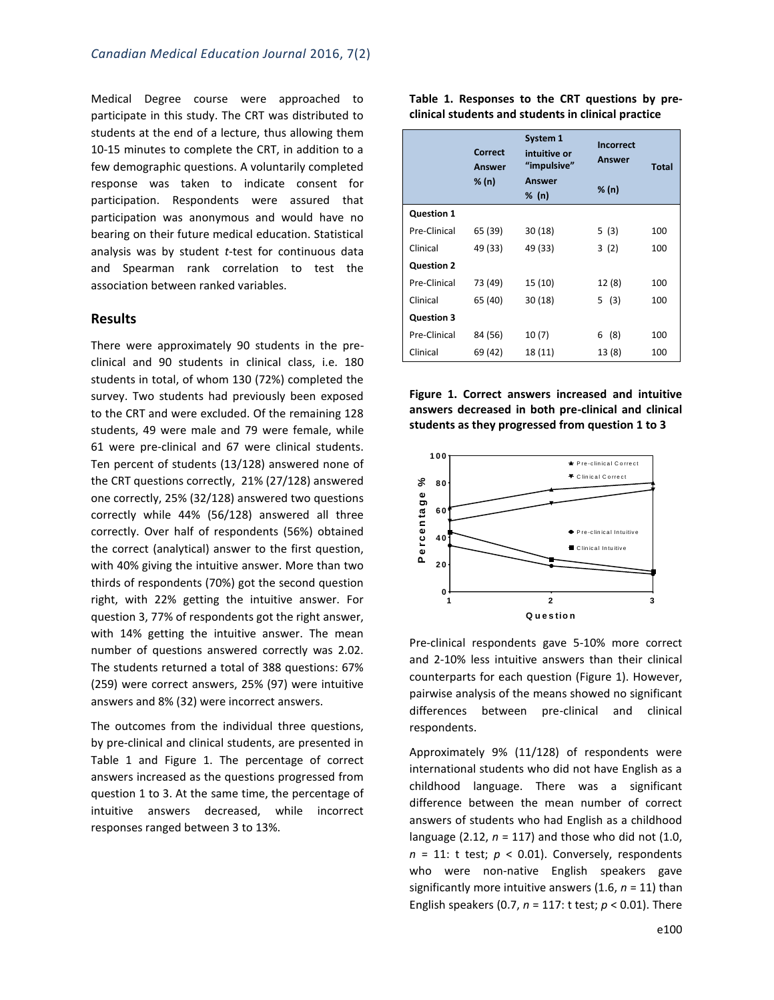Medical Degree course were approached to participate in this study. The CRT was distributed to students at the end of a lecture, thus allowing them 10-15 minutes to complete the CRT, in addition to a few demographic questions. A voluntarily completed response was taken to indicate consent for participation. Respondents were assured that participation was anonymous and would have no bearing on their future medical education. Statistical analysis was by student *t*-test for continuous data and Spearman rank correlation to test the association between ranked variables.

#### **Results**

There were approximately 90 students in the preclinical and 90 students in clinical class, i.e. 180 students in total, of whom 130 (72%) completed the survey. Two students had previously been exposed to the CRT and were excluded. Of the remaining 128 students, 49 were male and 79 were female, while 61 were pre-clinical and 67 were clinical students. Ten percent of students (13/128) answered none of the CRT questions correctly, 21% (27/128) answered one correctly, 25% (32/128) answered two questions correctly while 44% (56/128) answered all three correctly. Over half of respondents (56%) obtained the correct (analytical) answer to the first question, with 40% giving the intuitive answer. More than two thirds of respondents (70%) got the second question right, with 22% getting the intuitive answer. For question 3, 77% of respondents got the right answer, with 14% getting the intuitive answer. The mean number of questions answered correctly was 2.02. The students returned a total of 388 questions: 67% (259) were correct answers, 25% (97) were intuitive answers and 8% (32) were incorrect answers.

The outcomes from the individual three questions, by pre-clinical and clinical students, are presented in Table 1 and Figure 1. The percentage of correct answers increased as the questions progressed from question 1 to 3. At the same time, the percentage of intuitive answers decreased, while incorrect responses ranged between 3 to 13%.

**Table 1. Responses to the CRT questions by preclinical students and students in clinical practice**

|                   | <b>Correct</b><br>Answer | System 1<br>intuitive or<br>"impulsive" | <b>Incorrect</b><br>Answer | Total |
|-------------------|--------------------------|-----------------------------------------|----------------------------|-------|
|                   | % (n)                    | Answer                                  | % (n)                      |       |
|                   |                          | % (n)                                   |                            |       |
| <b>Question 1</b> |                          |                                         |                            |       |
| Pre-Clinical      | 65 (39)                  | 30(18)                                  | 5(3)                       | 100   |
| Clinical          | 49 (33)                  | 49 (33)                                 | 3(2)                       | 100   |
| <b>Question 2</b> |                          |                                         |                            |       |
| Pre-Clinical      | 73 (49)                  | 15 (10)                                 | 12 (8)                     | 100   |
| Clinical          | 65 (40)                  | 30(18)                                  | 5 (3)                      | 100   |
| <b>Question 3</b> |                          |                                         |                            |       |
| Pre-Clinical      | 84 (56)                  | 10(7)                                   | (8)<br>6                   | 100   |
| Clinical          | 69 (42)                  | 18 (11)                                 | 13(8)                      | 100   |

**Figure 1. Correct answers increased and intuitive answers decreased in both pre-clinical and clinical students as they progressed from question 1 to 3**



Pre-clinical respondents gave 5-10% more correct and 2-10% less intuitive answers than their clinical counterparts for each question (Figure 1). However, pairwise analysis of the means showed no significant differences between pre-clinical and clinical respondents.

Approximately 9% (11/128) of respondents were international students who did not have English as a childhood language. There was a significant difference between the mean number of correct answers of students who had English as a childhood language (2.12, *n* = 117) and those who did not (1.0,  $n = 11$ : t test;  $p < 0.01$ ). Conversely, respondents who were non-native English speakers gave significantly more intuitive answers (1.6, *n* = 11) than English speakers (0.7, *n* = 117: t test; *p* < 0.01). There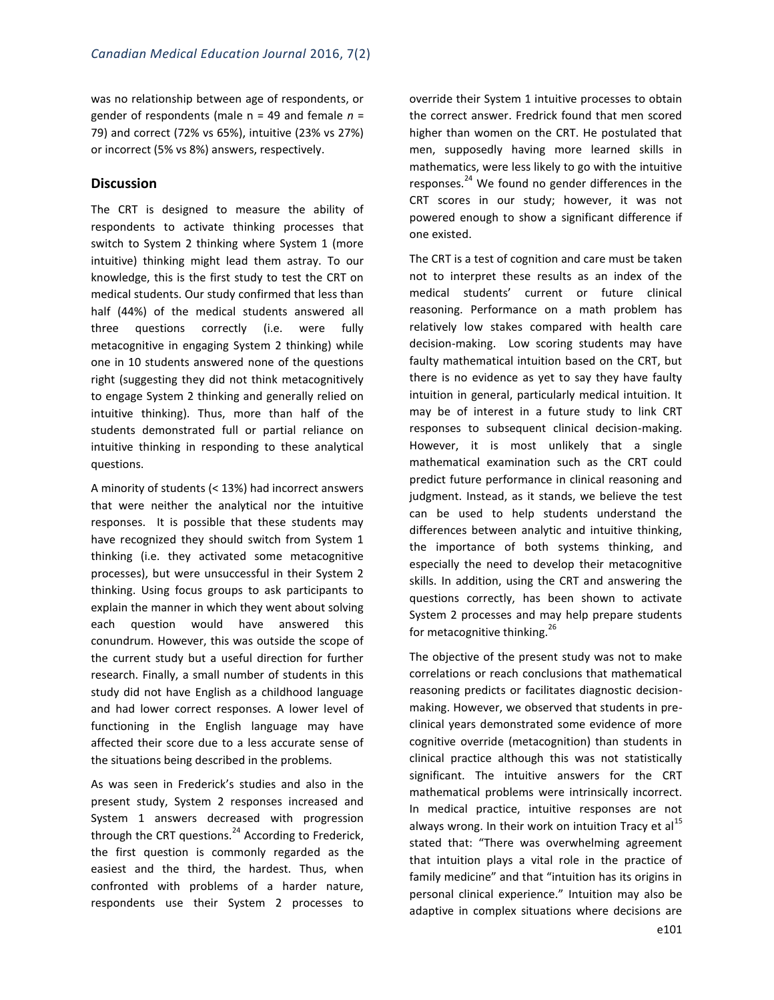was no relationship between age of respondents, or gender of respondents (male n = 49 and female *n* = 79) and correct (72% vs 65%), intuitive (23% vs 27%) or incorrect (5% vs 8%) answers, respectively.

#### **Discussion**

The CRT is designed to measure the ability of respondents to activate thinking processes that switch to System 2 thinking where System 1 (more intuitive) thinking might lead them astray. To our knowledge, this is the first study to test the CRT on medical students. Our study confirmed that less than half (44%) of the medical students answered all three questions correctly (i.e. were fully metacognitive in engaging System 2 thinking) while one in 10 students answered none of the questions right (suggesting they did not think metacognitively to engage System 2 thinking and generally relied on intuitive thinking). Thus, more than half of the students demonstrated full or partial reliance on intuitive thinking in responding to these analytical questions.

A minority of students (< 13%) had incorrect answers that were neither the analytical nor the intuitive responses. It is possible that these students may have recognized they should switch from System 1 thinking (i.e. they activated some metacognitive processes), but were unsuccessful in their System 2 thinking. Using focus groups to ask participants to explain the manner in which they went about solving each question would have answered this conundrum. However, this was outside the scope of the current study but a useful direction for further research. Finally, a small number of students in this study did not have English as a childhood language and had lower correct responses. A lower level of functioning in the English language may have affected their score due to a less accurate sense of the situations being described in the problems.

As was seen in Frederick's studies and also in the present study, System 2 responses increased and System 1 answers decreased with progression through the CRT questions. $^{24}$  According to Frederick, the first question is commonly regarded as the easiest and the third, the hardest. Thus, when confronted with problems of a harder nature, respondents use their System 2 processes to override their System 1 intuitive processes to obtain the correct answer. Fredrick found that men scored higher than women on the CRT. He postulated that men, supposedly having more learned skills in mathematics, were less likely to go with the intuitive responses.<sup>24</sup> We found no gender differences in the CRT scores in our study; however, it was not powered enough to show a significant difference if one existed.

The CRT is a test of cognition and care must be taken not to interpret these results as an index of the medical students' current or future clinical reasoning. Performance on a math problem has relatively low stakes compared with health care decision-making.Low scoring students may have faulty mathematical intuition based on the CRT, but there is no evidence as yet to say they have faulty intuition in general, particularly medical intuition. It may be of interest in a future study to link CRT responses to subsequent clinical decision-making. However, it is most unlikely that a single mathematical examination such as the CRT could predict future performance in clinical reasoning and judgment. Instead, as it stands, we believe the test can be used to help students understand the differences between analytic and intuitive thinking, the importance of both systems thinking, and especially the need to develop their metacognitive skills. In addition, using the CRT and answering the questions correctly, has been shown to activate System 2 processes and may help prepare students for metacognitive thinking.<sup>26</sup>

The objective of the present study was not to make correlations or reach conclusions that mathematical reasoning predicts or facilitates diagnostic decisionmaking. However, we observed that students in preclinical years demonstrated some evidence of more cognitive override (metacognition) than students in clinical practice although this was not statistically significant. The intuitive answers for the CRT mathematical problems were intrinsically incorrect. In medical practice, intuitive responses are not always wrong. In their work on intuition Tracy et al $^{15}$ stated that: "There was overwhelming agreement that intuition plays a vital role in the practice of family medicine" and that "intuition has its origins in personal clinical experience." Intuition may also be adaptive in complex situations where decisions are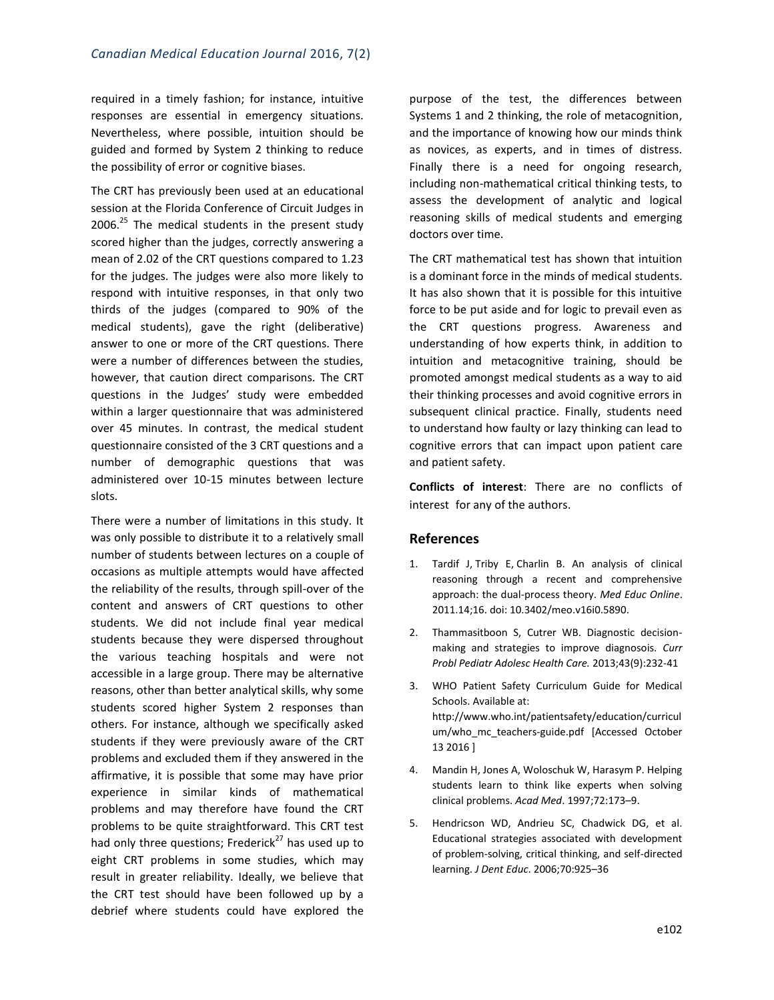required in a timely fashion; for instance, intuitive responses are essential in emergency situations. Nevertheless, where possible, intuition should be guided and formed by System 2 thinking to reduce the possibility of error or cognitive biases.

The CRT has previously been used at an educational session at the Florida Conference of Circuit Judges in 2006. $^{25}$  The medical students in the present study scored higher than the judges, correctly answering a mean of 2.02 of the CRT questions compared to 1.23 for the judges. The judges were also more likely to respond with intuitive responses, in that only two thirds of the judges (compared to 90% of the medical students), gave the right (deliberative) answer to one or more of the CRT questions. There were a number of differences between the studies, however, that caution direct comparisons. The CRT questions in the Judges' study were embedded within a larger questionnaire that was administered over 45 minutes. In contrast, the medical student questionnaire consisted of the 3 CRT questions and a number of demographic questions that was administered over 10-15 minutes between lecture slots.

There were a number of limitations in this study. It was only possible to distribute it to a relatively small number of students between lectures on a couple of occasions as multiple attempts would have affected the reliability of the results, through spill-over of the content and answers of CRT questions to other students. We did not include final year medical students because they were dispersed throughout the various teaching hospitals and were not accessible in a large group. There may be alternative reasons, other than better analytical skills, why some students scored higher System 2 responses than others. For instance, although we specifically asked students if they were previously aware of the CRT problems and excluded them if they answered in the affirmative, it is possible that some may have prior experience in similar kinds of mathematical problems and may therefore have found the CRT problems to be quite straightforward. This CRT test had only three questions; Frederick $^{27}$  has used up to eight CRT problems in some studies, which may result in greater reliability. Ideally, we believe that the CRT test should have been followed up by a debrief where students could have explored the

purpose of the test, the differences between Systems 1 and 2 thinking, the role of metacognition, and the importance of knowing how our minds think as novices, as experts, and in times of distress. Finally there is a need for ongoing research, including non-mathematical critical thinking tests, to assess the development of analytic and logical reasoning skills of medical students and emerging doctors over time.

The CRT mathematical test has shown that intuition is a dominant force in the minds of medical students. It has also shown that it is possible for this intuitive force to be put aside and for logic to prevail even as the CRT questions progress. Awareness and understanding of how experts think, in addition to intuition and metacognitive training, should be promoted amongst medical students as a way to aid their thinking processes and avoid cognitive errors in subsequent clinical practice. Finally, students need to understand how faulty or lazy thinking can lead to cognitive errors that can impact upon patient care and patient safety.

**Conflicts of interest**: There are no conflicts of interest for any of the authors.

#### **References**

- 1. [Tardif J,](http://www.ncbi.nlm.nih.gov/pubmed/?term=Tardif%20J%5BAuthor%5D&cauthor=true&cauthor_uid=21430797) [Triby E,](http://www.ncbi.nlm.nih.gov/pubmed/?term=Triby%20E%5BAuthor%5D&cauthor=true&cauthor_uid=21430797) [Charlin B.](http://www.ncbi.nlm.nih.gov/pubmed/?term=Charlin%20B%5BAuthor%5D&cauthor=true&cauthor_uid=21430797) An analysis of clinical reasoning through a recent and comprehensive approach: the dual-process theory. *Med Educ Online*. 2011.14;16. doi: 10.3402/meo.v16i0.5890.
- 2. Thammasitboon S, Cutrer WB. Diagnostic decisionmaking and strategies to improve diagnosois. *Curr Probl Pediatr Adolesc Health Care.* 2013;43(9):232-41
- 3. WHO Patient Safety Curriculum Guide for Medical Schools. Available at: [http://www.who.int/patientsafety/education/curricul](http://www.who.int/patientsafety/education/curriculum/who_mc_teachers-guide.pdf) [um/who\\_mc\\_teachers-guide.pdf](http://www.who.int/patientsafety/education/curriculum/who_mc_teachers-guide.pdf) [Accessed October 13 2016 ]
- 4. Mandin H, Jones A, Woloschuk W, Harasym P. Helping students learn to think like experts when solving clinical problems. *Acad Med*. 1997;72:173–9.
- 5. Hendricson WD, Andrieu SC, Chadwick DG, et al. Educational strategies associated with development of problem-solving, critical thinking, and self-directed learning. *J Dent Educ*. 2006;70:925–36